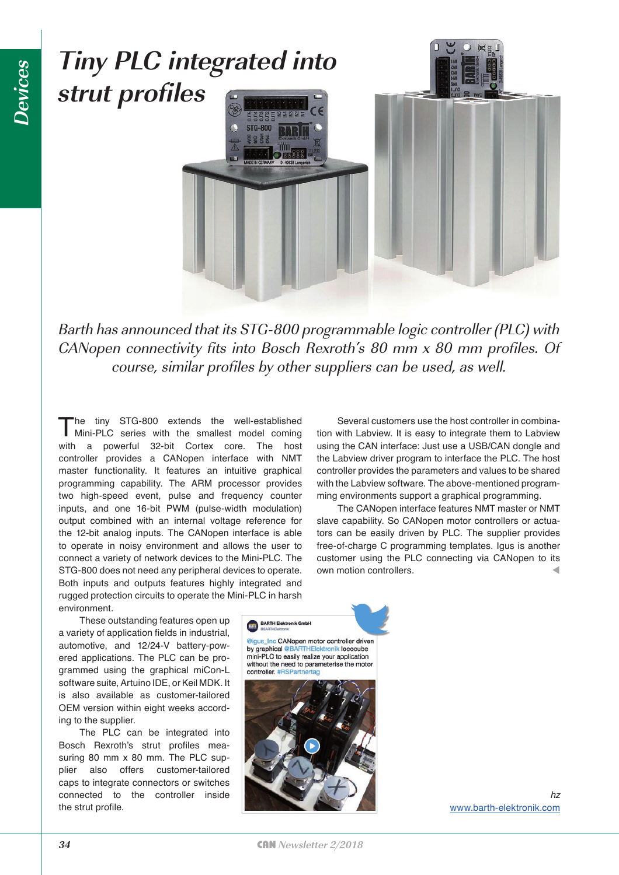

Barth has announced that its STG-800 programmable logic controller (PLC) with CANopen connectivity fits into Bosch Rexroth's 80 mm x 80 mm profiles. Of course, similar profiles by other suppliers can be used, as well.

The tiny STG-800 extends the well-established Mini-PLC series with the smallest model coming with a powerful 32-bit Cortex core. The host controller provides a CANopen interface with NMT master functionality. It features an intuitive graphical programming capability. The ARM processor provides two high-speed event, pulse and frequency counter inputs, and one 16-bit PWM (pulse-width modulation) output combined with an internal voltage reference for the 12-bit analog inputs. The CANopen interface is able to operate in noisy environment and allows the user to connect a variety of network devices to the Mini-PLC. The STG-800 does not need any peripheral devices to operate. Both inputs and outputs features highly integrated and rugged protection circuits to operate the Mini-PLC in harsh environment.

Several customers use the host controller in combination with Labview. It is easy to integrate them to Labview using the CAN interface: Just use a USB/CAN dongle and the Labview driver program to interface the PLC. The host controller provides the parameters and values to be shared with the Labview software. The above-mentioned programming environments support a graphical programming.

The CANopen interface features NMT master or NMT slave capability. So CANopen motor controllers or actuators can be easily driven by PLC. The supplier provides free-of-charge C programming templates. Igus is another customer using the PLC connecting via CANopen to its own motion controllers.

These outstanding features open up a variety of application fields in industrial, automotive, and 12/24-V battery-powered applications. The PLC can be programmed using the graphical miCon-L software suite, Artuino IDE, or Keil MDK. It is also available as customer-tailored OEM version within eight weeks according to the supplier.

The PLC can be integrated into Bosch Rexroth's strut profiles measuring 80 mm x 80 mm. The PLC supplier also offers customer-tailored caps to integrate connectors or switches connected to the controller inside the strut profile.



controller, #RS